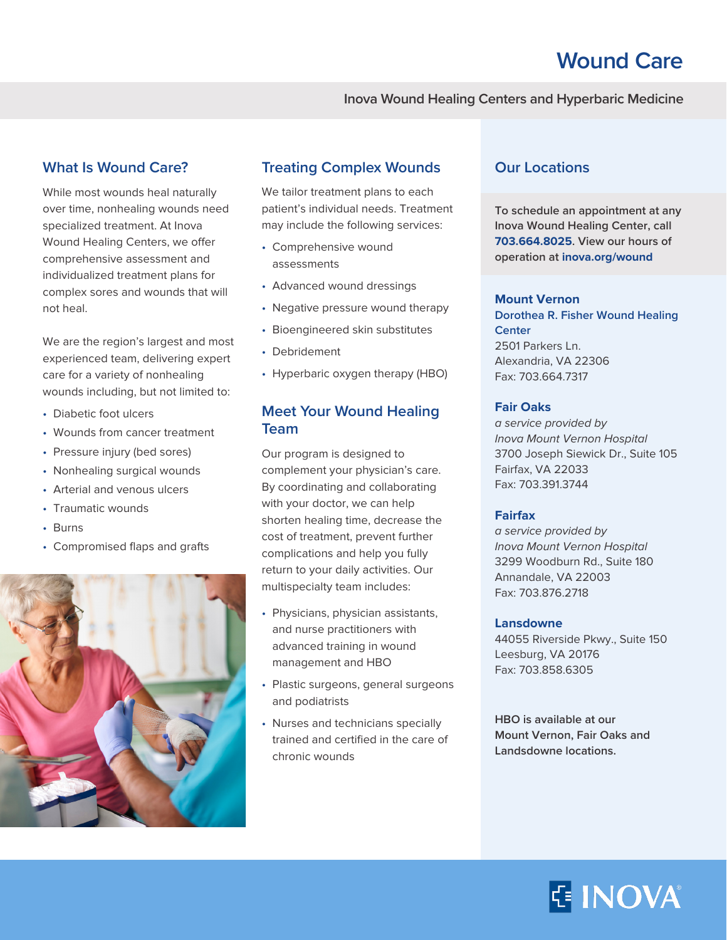### **Inova Wound Healing Centers and Hyperbaric Medicine**

# **What Is Wound Care?**

While most wounds heal naturally over time, nonhealing wounds need specialized treatment. At Inova Wound Healing Centers, we offer comprehensive assessment and individualized treatment plans for complex sores and wounds that will not heal.

We are the region's largest and most experienced team, delivering expert care for a variety of nonhealing wounds including, but not limited to:

- Diabetic foot ulcers
- Wounds from cancer treatment
- Pressure injury (bed sores)
- Nonhealing surgical wounds
- Arterial and venous ulcers
- Traumatic wounds
- Burns
- Compromised flaps and grafts



### **Treating Complex Wounds**

We tailor treatment plans to each patient's individual needs. Treatment may include the following services:

- Comprehensive wound assessments
- Advanced wound dressings
- Negative pressure wound therapy
- Bioengineered skin substitutes
- Debridement
- Hyperbaric oxygen therapy (HBO)

## **Meet Your Wound Healing Team**

Our program is designed to complement your physician's care. By coordinating and collaborating with your doctor, we can help shorten healing time, decrease the cost of treatment, prevent further complications and help you fully return to your daily activities. Our multispecialty team includes:

- Physicians, physician assistants, and nurse practitioners with advanced training in wound management and HBO
- Plastic surgeons, general surgeons and podiatrists
- Nurses and technicians specially trained and certified in the care of chronic wounds

## **Our Locations**

**To schedule an appointment at any Inova Wound Healing Center, call 703.664.8025. View our hours of operation at inova.org/wound**

#### **Mount Vernon**

**Dorothea R. Fisher Wound Healing Center** 2501 Parkers Ln. Alexandria, VA 22306 Fax: 703.664.7317

#### **Fair Oaks**

a service provided by Inova Mount Vernon Hospital 3700 Joseph Siewick Dr., Suite 105 Fairfax, VA 22033 Fax: 703.391.3744

### **Fairfax**

a service provided by Inova Mount Vernon Hospital 3299 Woodburn Rd., Suite 180 Annandale, VA 22003 Fax: 703.876.2718

#### **Lansdowne**

44055 Riverside Pkwy., Suite 150 Leesburg, VA 20176 Fax: 703.858.6305

**HBO is available at our Mount Vernon, Fair Oaks and Landsdowne locations.**